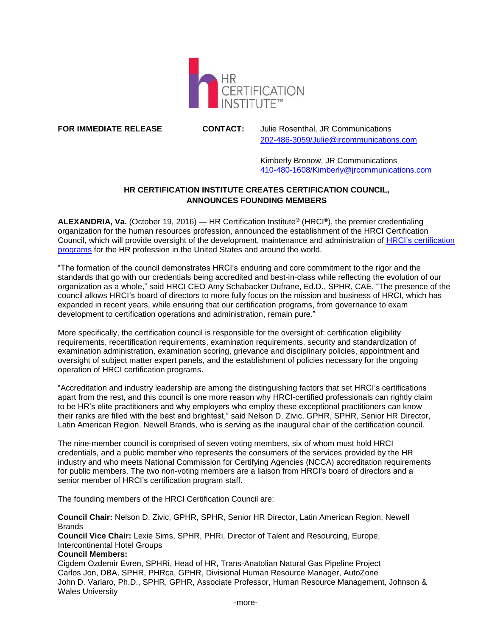

**FOR IMMEDIATE RELEASE CONTACT:** Julie Rosenthal, JR Communications [202-486-3059/Julie@jrcommunications.com](mailto:202-486-3059/Julie@jrcommunications.com)

> Kimberly Bronow, JR Communications [410-480-1608/Kimberly@jrcommunications.com](mailto:410-480-1608/Kimberly@jrcommunications.com)

## **HR CERTIFICATION INSTITUTE CREATES CERTIFICATION COUNCIL, ANNOUNCES FOUNDING MEMBERS**

**ALEXANDRIA, Va.** (October 19, 2016) ― HR Certification Institute**®** (HRCI**®**), the premier credentialing organization for the human resources profession, announced the establishment of the HRCI Certification Council, which will provide oversight of the development, maintenance and administration of HRCI's [certification](https://www.hrci.org/our-programs/our-certifications)  [programs](https://www.hrci.org/our-programs/our-certifications) for the HR profession in the United States and around the world.

"The formation of the council demonstrates HRCI's enduring and core commitment to the rigor and the standards that go with our credentials being accredited and best-in-class while reflecting the evolution of our organization as a whole," said HRCI CEO Amy Schabacker Dufrane, Ed.D., SPHR, CAE. "The presence of the council allows HRCI's board of directors to more fully focus on the mission and business of HRCI, which has expanded in recent years, while ensuring that our certification programs, from governance to exam development to certification operations and administration, remain pure."

More specifically, the certification council is responsible for the oversight of: certification eligibility requirements, recertification requirements, examination requirements, security and standardization of examination administration, examination scoring, grievance and disciplinary policies, appointment and oversight of subject matter expert panels, and the establishment of policies necessary for the ongoing operation of HRCI certification programs.

"Accreditation and industry leadership are among the distinguishing factors that set HRCI's certifications apart from the rest, and this council is one more reason why HRCI-certified professionals can rightly claim to be HR's elite practitioners and why employers who employ these exceptional practitioners can know their ranks are filled with the best and brightest," said Nelson D. Zivic, GPHR, SPHR, Senior HR Director, Latin American Region, Newell Brands, who is serving as the inaugural chair of the certification council.

The nine-member council is comprised of seven voting members, six of whom must hold HRCI credentials, and a public member who represents the consumers of the services provided by the HR industry and who meets National Commission for Certifying Agencies (NCCA) accreditation requirements for public members. The two non-voting members are a liaison from HRCI's board of directors and a senior member of HRCI's certification program staff.

The founding members of the HRCI Certification Council are:

**Council Chair:** Nelson D. Zivic, GPHR, SPHR, Senior HR Director, Latin American Region, Newell **Brands** 

**Council Vice Chair:** Lexie Sims, SPHR, PHRi, Director of Talent and Resourcing, Europe, Intercontinental Hotel Groups

## **Council Members:**

Cigdem Ozdemir Evren, SPHRi, Head of HR, Trans-Anatolian Natural Gas Pipeline Project Carlos Jon, DBA, SPHR, PHRca, GPHR, Divisional Human Resource Manager, AutoZone John D. Varlaro, Ph.D., SPHR, GPHR, Associate Professor, Human Resource Management, Johnson & Wales University